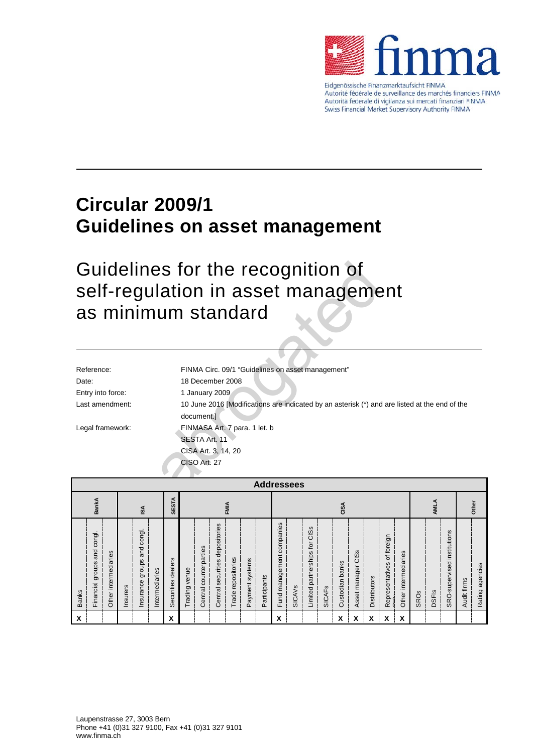

Eidgenössische Finanzmarktaufsicht FINMA Autorité fédérale de surveillance des marchés financiers FINMA Autorità federale di vigilanza sui mercati finanziari FINMA Swiss Financial Market Supervisory Authority FINMA

# **Circular 2009/1 Guidelines on asset management**

# Guidelines for the recognition of self-regulation in asset management as minimum standard

|                                                                                                                                | Guidelines for the recognition of<br>self-regulation in asset management<br>as minimum standard |  |  |  |  |  |  |  |  |
|--------------------------------------------------------------------------------------------------------------------------------|-------------------------------------------------------------------------------------------------|--|--|--|--|--|--|--|--|
|                                                                                                                                |                                                                                                 |  |  |  |  |  |  |  |  |
| Reference:                                                                                                                     | FINMA Circ. 09/1 "Guidelines on asset management"                                               |  |  |  |  |  |  |  |  |
| Date:                                                                                                                          | 18 December 2008                                                                                |  |  |  |  |  |  |  |  |
| Entry into force:                                                                                                              | 1 January 2009                                                                                  |  |  |  |  |  |  |  |  |
| Last amendment:<br>10 June 2016 [Modifications are indicated by an asterisk (*) and are listed at the end of the<br>document.] |                                                                                                 |  |  |  |  |  |  |  |  |
| Legal framework:                                                                                                               | FINMASA Art. 7 para. 1 let. b                                                                   |  |  |  |  |  |  |  |  |
|                                                                                                                                | SESTA Art. 11                                                                                   |  |  |  |  |  |  |  |  |
|                                                                                                                                | CISA Art. 3, 14, 20                                                                             |  |  |  |  |  |  |  |  |
|                                                                                                                                | CISO Art. 27                                                                                    |  |  |  |  |  |  |  |  |
|                                                                                                                                | <b>Addressees</b>                                                                               |  |  |  |  |  |  |  |  |

|              | <b>Addressees</b>                           |                             |          |                                         |                |                           |                  |                           |                                           |                       |                        |                  |                                 |               |                                            |               |                 |                                                        |                     |                                                   |                             |             |              |                                        |             |                 |
|--------------|---------------------------------------------|-----------------------------|----------|-----------------------------------------|----------------|---------------------------|------------------|---------------------------|-------------------------------------------|-----------------------|------------------------|------------------|---------------------------------|---------------|--------------------------------------------|---------------|-----------------|--------------------------------------------------------|---------------------|---------------------------------------------------|-----------------------------|-------------|--------------|----------------------------------------|-------------|-----------------|
|              | <b>SESTA</b><br><b>BankA</b><br>FMIA<br>ISA |                             |          |                                         | CISA           |                           |                  |                           |                                           |                       |                        |                  |                                 |               | AML                                        | Other         |                 |                                                        |                     |                                                   |                             |             |              |                                        |             |                 |
| <b>Banks</b> | and congl.<br>Financial groups              | S<br>intermediarie<br>Other | Insurers | congl.<br>g<br>ω<br>groups<br>Insurance | Intermediaries | dealers<br>ecurities<br>Ŵ | venue<br>Trading | counterparties<br>Central | S<br>depositorie<br>securities<br>Central | repositories<br>Trade | systems<br>ayment<br>௳ | articipants<br>௳ | companies<br>management<br>Fund | <b>SICAVS</b> | S<br>ഇ<br>ပ<br>tor<br>Limited partnerships | <b>SICAFS</b> | Custodian banks | ဖ<br>S<br>ō<br>manager<br>sset<br>$\blacktriangleleft$ | <b>Distributors</b> | foreign<br>$\sigma$<br>epresentatives<br>$\alpha$ | S<br>intermediarie<br>Other | <b>SROs</b> | <b>DSFIS</b> | institutions<br>ᅙ<br>supervise<br>SRO- | Audit firms | Rating agencies |
| X            |                                             |                             |          |                                         |                | v<br>$\lambda$            |                  |                           |                                           |                       |                        |                  | X                               |               |                                            |               | χ               | x                                                      | χ                   | χ                                                 | χ                           |             |              |                                        |             |                 |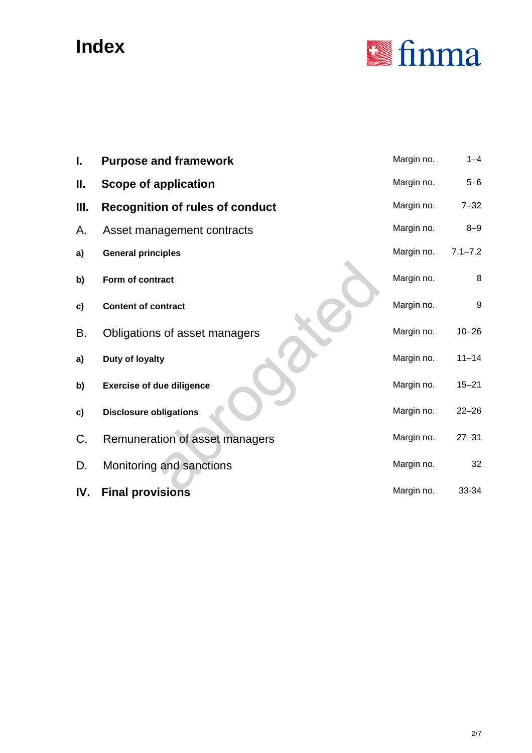# **Index**



| I.   | <b>Purpose and framework</b>           | Margin no. | $1 - 4$     |
|------|----------------------------------------|------------|-------------|
| Ш.   | Scope of application                   | Margin no. | $5 - 6$     |
| III. | <b>Recognition of rules of conduct</b> | Margin no. | $7 - 32$    |
| Α.   | Asset management contracts             | Margin no. | $8 - 9$     |
| a)   | <b>General principles</b>              | Margin no. | $7.1 - 7.2$ |
| b)   | Form of contract                       | Margin no. | 8           |
| c)   | <b>Content of contract</b>             | Margin no. | 9           |
| В.   | Obligations of asset managers          | Margin no. | $10 - 26$   |
| a)   | Duty of loyalty                        | Margin no. | $11 - 14$   |
| b)   | <b>Exercise of due diligence</b>       | Margin no. | $15 - 21$   |
| c)   | <b>Disclosure obligations</b>          | Margin no. | $22 - 26$   |
| C.   | Remuneration of asset managers         | Margin no. | $27 - 31$   |
| D.   | Monitoring and sanctions               | Margin no. | 32          |
| IV.  | <b>Final provisions</b>                | Margin no. | 33-34       |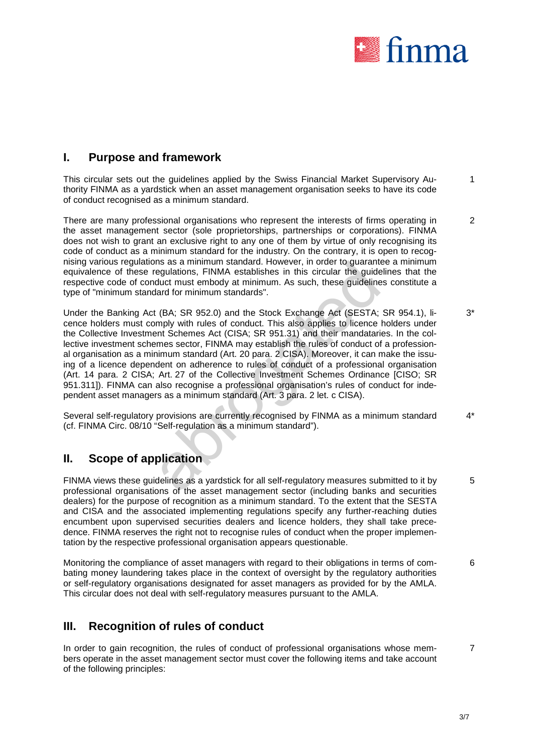

## **I. Purpose and framework**

This circular sets out the guidelines applied by the Swiss Financial Market Supervisory Authority FINMA as a yardstick when an asset management organisation seeks to have its code of conduct recognised as a minimum standard. 1

There are many professional organisations who represent the interests of firms operating in the asset management sector (sole proprietorships, partnerships or corporations). FINMA does not wish to grant an exclusive right to any one of them by virtue of only recognising its code of conduct as a minimum standard for the industry. On the contrary, it is open to recognising various regulations as a minimum standard. However, in order to guarantee a minimum equivalence of these regulations, FINMA establishes in this circular the guidelines that the respective code of conduct must embody at minimum. As such, these guidelines constitute a type of "minimum standard for minimum standards". 2

is as a minimum standard. However, in order to guarantee and<br>egulations, FINMA establishes in this circular the guidelines chutch must embody at minimum. As such, these guidelines c<br>and for minimum standards".<br>(BA; SR 952. Under the Banking Act (BA; SR 952.0) and the Stock Exchange Act (SESTA; SR 954.1), licence holders must comply with rules of conduct. This also applies to licence holders under the Collective Investment Schemes Act (CISA; SR 951.31) and their mandataries. In the collective investment schemes sector, FINMA may establish the rules of conduct of a professional organisation as a minimum standard (Art. 20 para. 2 CISA). Moreover, it can make the issuing of a licence dependent on adherence to rules of conduct of a professional organisation (Art. 14 para. 2 CISA; Art. 27 of the Collective Investment Schemes Ordinance [CISO; SR 951.311]). FINMA can also recognise a professional organisation's rules of conduct for independent asset managers as a minimum standard (Art. 3 para. 2 let. c CISA). 3\*

Several self-regulatory provisions are currently recognised by FINMA as a minimum standard (cf. FINMA Circ. 08/10 "Self-regulation as a minimum standard"). 4\*

## **II. Scope of application**

FINMA views these guidelines as a yardstick for all self-regulatory measures submitted to it by professional organisations of the asset management sector (including banks and securities dealers) for the purpose of recognition as a minimum standard. To the extent that the SESTA and CISA and the associated implementing regulations specify any further-reaching duties encumbent upon supervised securities dealers and licence holders, they shall take precedence. FINMA reserves the right not to recognise rules of conduct when the proper implementation by the respective professional organisation appears questionable. 5

Monitoring the compliance of asset managers with regard to their obligations in terms of combating money laundering takes place in the context of oversight by the regulatory authorities or self-regulatory organisations designated for asset managers as provided for by the AMLA. This circular does not deal with self-regulatory measures pursuant to the AMLA. 6

## **III. Recognition of rules of conduct**

In order to gain recognition, the rules of conduct of professional organisations whose members operate in the asset management sector must cover the following items and take account of the following principles:

7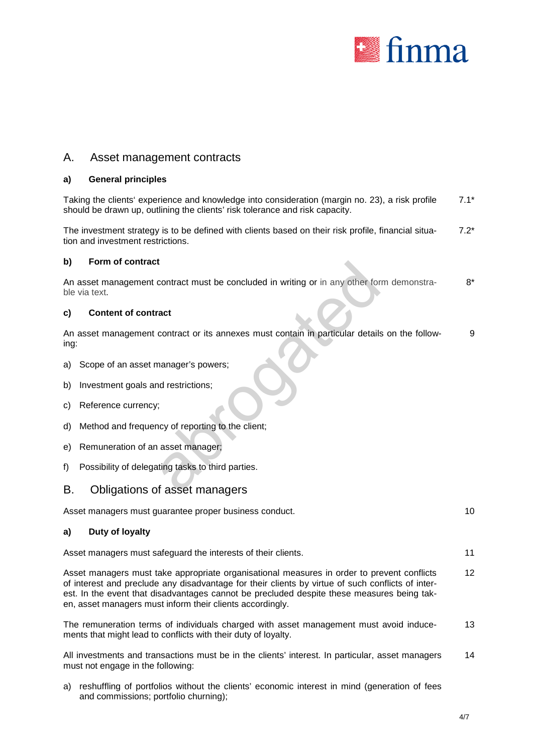

### A. Asset management contracts

### **a) General principles**

Taking the clients' experience and knowledge into consideration (margin no. 23), a risk profile should be drawn up, outlining the clients' risk tolerance and risk capacity. 7.1\*

The investment strategy is to be defined with clients based on their risk profile, financial situation and investment restrictions. 7.2\*

#### **b) Form of contract**

| D)   | Form of contract                                                                                           |      |
|------|------------------------------------------------------------------------------------------------------------|------|
|      | An asset management contract must be concluded in writing or in any other form demonstra-<br>ble via text. | $8*$ |
| C)   | <b>Content of contract</b>                                                                                 |      |
| ing: | An asset management contract or its annexes must contain in particular details on the follow-              | 9    |
|      | a) Scope of an asset manager's powers;                                                                     |      |
| b)   | Investment goals and restrictions;                                                                         |      |
| C)   | Reference currency;                                                                                        |      |
|      | d) Method and frequency of reporting to the client;                                                        |      |
|      | e) Remuneration of an asset manager;                                                                       |      |
| f)   | Possibility of delegating tasks to third parties.                                                          |      |
| B.   | Obligations of asset managers                                                                              |      |

#### **c) Content of contract**

- a) Scope of an asset manager's powers;
- b) Investment goals and restrictions;
- c) Reference currency;
- d) Method and frequency of reporting to the client;
- e) Remuneration of an asset manager;
- f) Possibility of delegating tasks to third parties.

### B. Obligations of asset managers

Asset managers must guarantee proper business conduct. 10 and 10 and 10 and 10 and 10 and 10 and 10 and 10 and 10 and 10 and 10 and 10 and 10 and 10 and 10 and 10 and 10 and 10 and 10 and 10 and 10 and 10 and 10 and 10 and

#### **a) Duty of loyalty**

Asset managers must safeguard the interests of their clients. 11

Asset managers must take appropriate organisational measures in order to prevent conflicts of interest and preclude any disadvantage for their clients by virtue of such conflicts of interest. In the event that disadvantages cannot be precluded despite these measures being taken, asset managers must inform their clients accordingly. 12

The remuneration terms of individuals charged with asset management must avoid inducements that might lead to conflicts with their duty of loyalty. 13

All investments and transactions must be in the clients' interest. In particular, asset managers must not engage in the following: 14

a) reshuffling of portfolios without the clients' economic interest in mind (generation of fees and commissions; portfolio churning);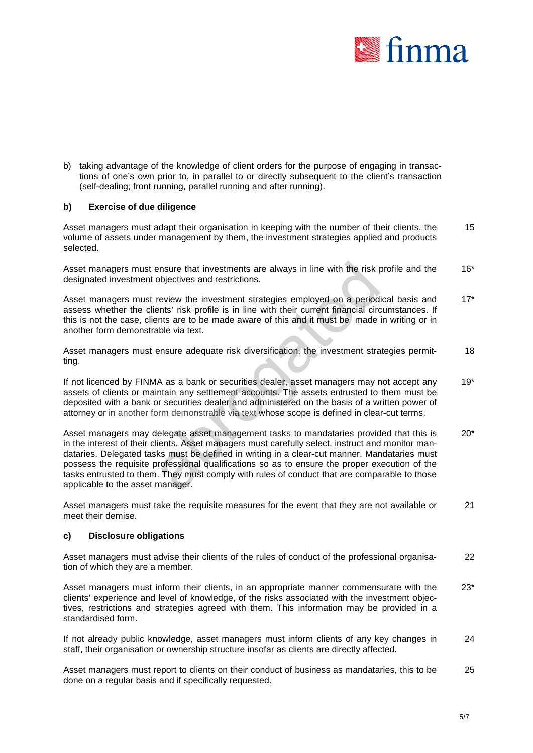

b) taking advantage of the knowledge of client orders for the purpose of engaging in transactions of one's own prior to, in parallel to or directly subsequent to the client's transaction (self-dealing; front running, parallel running and after running).

### **b) Exercise of due diligence**

Asset managers must adapt their organisation in keeping with the number of their clients, the volume of assets under management by them, the investment strategies applied and products selected. 15

Asset managers must ensure that investments are always in line with the risk profile and the designated investment objectives and restrictions. 16\*

Asset managers must review the investment strategies employed on a periodical basis and assess whether the clients' risk profile is in line with their current financial circumstances. If this is not the case, clients are to be made aware of this and it must be made in writing or in another form demonstrable via text. 17\*

Asset managers must ensure adequate risk diversification, the investment strategies permitting. 18

If not licenced by FINMA as a bank or securities dealer, asset managers may not accept any assets of clients or maintain any settlement accounts. The assets entrusted to them must be deposited with a bank or securities dealer and administered on the basis of a written power of attorney or in another form demonstrable via text whose scope is defined in clear-cut terms. 19\*

ensure that investments are always in line with the risk profobjectives and restrictions.<br>
review the investment strategies employed on a periodical<br>
review the investment strategies employed on a periodical<br>
rents are to Asset managers may delegate asset management tasks to mandataries provided that this is in the interest of their clients. Asset managers must carefully select, instruct and monitor mandataries. Delegated tasks must be defined in writing in a clear-cut manner. Mandataries must possess the requisite professional qualifications so as to ensure the proper execution of the tasks entrusted to them. They must comply with rules of conduct that are comparable to those applicable to the asset manager. 20\*

Asset managers must take the requisite measures for the event that they are not available or meet their demise. 21

#### **c) Disclosure obligations**

Asset managers must advise their clients of the rules of conduct of the professional organisation of which they are a member. 22

Asset managers must inform their clients, in an appropriate manner commensurate with the clients' experience and level of knowledge, of the risks associated with the investment objectives, restrictions and strategies agreed with them. This information may be provided in a standardised form. 23\*

If not already public knowledge, asset managers must inform clients of any key changes in staff, their organisation or ownership structure insofar as clients are directly affected. 24

Asset managers must report to clients on their conduct of business as mandataries, this to be done on a regular basis and if specifically requested. 25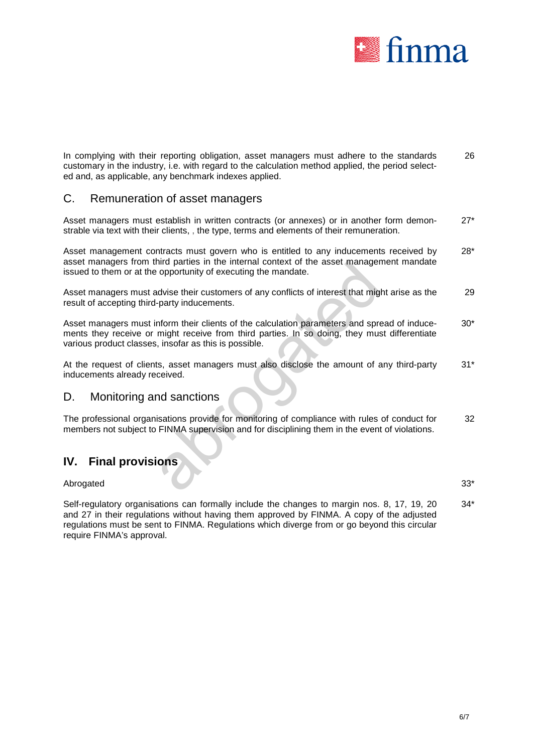

In complying with their reporting obligation, asset managers must adhere to the standards customary in the industry, i.e. with regard to the calculation method applied, the period selected and, as applicable, any benchmark indexes applied. 26

## C. Remuneration of asset managers

Asset managers must establish in written contracts (or annexes) or in another form demonstrable via text with their clients, , the type, terms and elements of their remuneration. 27\*

Asset management contracts must govern who is entitled to any inducements received by asset managers from third parties in the internal context of the asset management mandate issued to them or at the opportunity of executing the mandate. 28\*

Asset managers must advise their customers of any conflicts of interest that might arise as the result of accepting third-party inducements. 29

nird parties in the internal context of the asset managemer<br>opportunity of executing the mandate.<br>Advise their customers of any conflicts of interest that might a<br>party inducements.<br>And their clients of the calculation par Asset managers must inform their clients of the calculation parameters and spread of inducements they receive or might receive from third parties. In so doing, they must differentiate various product classes, insofar as this is possible. 30\*

At the request of clients, asset managers must also disclose the amount of any third-party inducements already received. 31\*

## D. Monitoring and sanctions

The professional organisations provide for monitoring of compliance with rules of conduct for members not subject to FINMA supervision and for disciplining them in the event of violations. 32

## **IV. Final provisions**

Abrogated 33\*

Self-regulatory organisations can formally include the changes to margin nos. 8, 17, 19, 20 and 27 in their regulations without having them approved by FINMA. A copy of the adjusted regulations must be sent to FINMA. Regulations which diverge from or go beyond this circular require FINMA's approval. 34\*